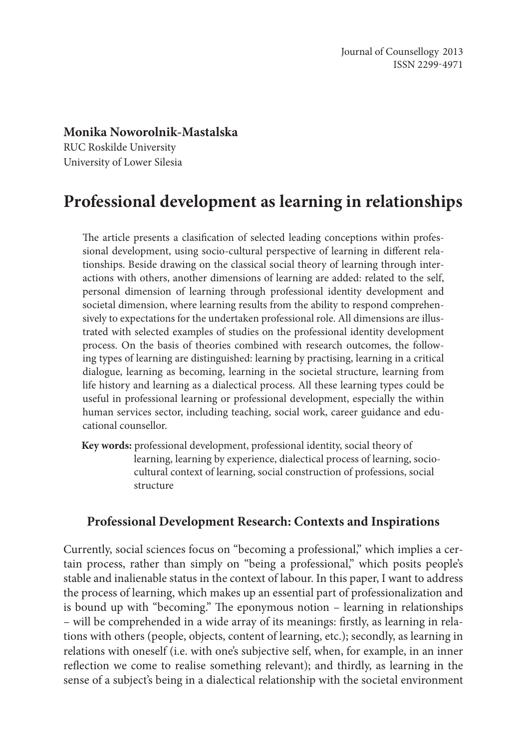## **Monika Noworolnik-Mastalska**

RUC Roskilde University University of Lower Silesia

# **Professional development as learning in relationships**

The article presents a clasification of selected leading conceptions within professional development, using socio-cultural perspective of learning in different rela‑ tionships. Beside drawing on the classical social theory of learning through inter‑ actions with others, another dimensions of learning are added: related to the self, personal dimension of learning through professional identity development and societal dimension, where learning results from the ability to respond comprehensively to expectations for the undertaken professional role. All dimensions are illustrated with selected examples of studies on the professional identity development process. On the basis of theories combined with research outcomes, the follow‑ ing types of learning are distinguished: learning by practising, learning in a critical dialogue, learning as becoming, learning in the societal structure, learning from life history and learning as a dialectical process. All these learning types could be useful in professional learning or professional development, especially the within human services sector, including teaching, social work, career guidance and educational counsellor.

**Key words:** professional development, professional identity, social theory of learning, learning by experience, dialectical process of learning, sociocultural context of learning, social construction of professions, social structure

## **Professional Development Research: Contexts and Inspirations**

Currently, social sciences focus on "becoming a professional," which implies a certain process, rather than simply on "being a professional," which posits people's stable and inalienable status in the context of labour. In this paper, I want to address the process of learning, which makes up an essential part of professionalization and is bound up with "becoming." The eponymous notion – learning in relationships – will be comprehended in a wide array of its meanings: firstly, as learning in rela‑ tions with others (people, objects, content of learning, etc.); secondly, as learning in relations with oneself (i.e. with one's subjective self, when, for example, in an inner reflection we come to realise something relevant); and thirdly, as learning in the sense of a subject's being in a dialectical relationship with the societal environment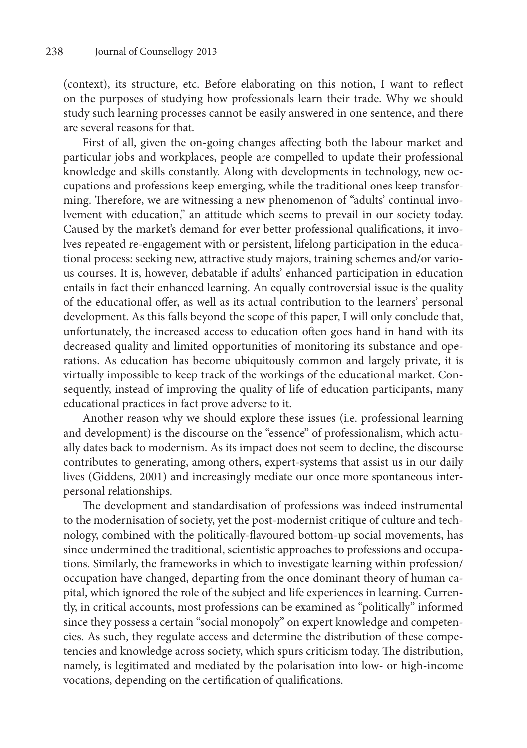(context), its structure, etc. Before elaborating on this notion, I want to reflect on the purposes of studying how professionals learn their trade. Why we should study such learning processes cannot be easily answered in one sentence, and there are several reasons for that.

First of all, given the on-going changes affecting both the labour market and particular jobs and workplaces, people are compelled to update their professional knowledge and skills constantly. Along with developments in technology, new oc‑ cupations and professions keep emerging, while the traditional ones keep transforming. Therefore, we are witnessing a new phenomenon of "adults' continual involvement with education," an attitude which seems to prevail in our society today. Caused by the market's demand for ever better professional qualifications, it involves repeated re-engagement with or persistent, lifelong participation in the educational process: seeking new, attractive study majors, training schemes and/or various courses. It is, however, debatable if adults' enhanced participation in education entails in fact their enhanced learning. An equally controversial issue is the quality of the educational offer, as well as its actual contribution to the learners' personal development. As this falls beyond the scope of this paper, I will only conclude that, unfortunately, the increased access to education often goes hand in hand with its decreased quality and limited opportunities of monitoring its substance and operations. As education has become ubiquitously common and largely private, it is virtually impossible to keep track of the workings of the educational market. Consequently, instead of improving the quality of life of education participants, many educational practices in fact prove adverse to it.

Another reason why we should explore these issues (i.e. professional learning and development) is the discourse on the "essence" of professionalism, which actually dates back to modernism. As its impact does not seem to decline, the discourse contributes to generating, among others, expert-systems that assist us in our daily lives (Giddens, 2001) and increasingly mediate our once more spontaneous interpersonal relationships.

The development and standardisation of professions was indeed instrumental to the modernisation of society, yet the post-modernist critique of culture and technology, combined with the politically-flavoured bottom-up social movements, has since undermined the traditional, scientistic approaches to professions and occupations. Similarly, the frameworks in which to investigate learning within profession/ occupation have changed, departing from the once dominant theory of human capital, which ignored the role of the subject and life experiences in learning. Currently, in critical accounts, most professions can be examined as "politically" informed since they possess a certain "social monopoly" on expert knowledge and competencies. As such, they regulate access and determine the distribution of these competencies and knowledge across society, which spurs criticism today. The distribution, namely, is legitimated and mediated by the polarisation into low- or high-income vocations, depending on the certification of qualifications.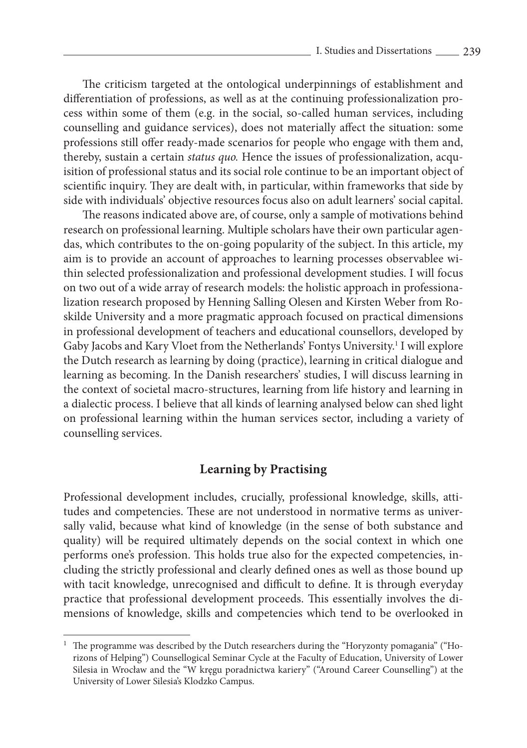The criticism targeted at the ontological underpinnings of establishment and differentiation of professions, as well as at the continuing professionalization process within some of them (e.g. in the social, so-called human services, including counselling and guidance services), does not materially affect the situation: some professions still offer ready-made scenarios for people who engage with them and, thereby, sustain a certain *status quo*. Hence the issues of professionalization, acquisition of professional status and its social role continue to be an important object of scientific inquiry. They are dealt with, in particular, within frameworks that side by side with individuals' objective resources focus also on adult learners' social capital.

The reasons indicated above are, of course, only a sample of motivations behind research on professional learning. Multiple scholars have their own particular agendas, which contributes to the on-going popularity of the subject. In this article, my aim is to provide an account of approaches to learning processes observablee within selected professionalization and professional development studies. I will focus on two out of a wide array of research models: the holistic approach in professionalization research proposed by Henning Salling Olesen and Kirsten Weber from Roskilde University and a more pragmatic approach focused on practical dimensions in professional development of teachers and educational counsellors, developed by Gaby Jacobs and Kary Vloet from the Netherlands' Fontys University.<sup>1</sup> I will explore the Dutch research as learning by doing (practice), learning in critical dialogue and learning as becoming. In the Danish researchers' studies, I will discuss learning in the context of societal macro-structures, learning from life history and learning in a dialectic process. I believe that all kinds of learning analysed below can shed light on professional learning within the human services sector, including a variety of counselling services.

### **Learning by Practising**

Professional development includes, crucially, professional knowledge, skills, attitudes and competencies. These are not understood in normative terms as universally valid, because what kind of knowledge (in the sense of both substance and quality) will be required ultimately depends on the social context in which one performs one's profession. This holds true also for the expected competencies, including the strictly professional and clearly defined ones as well as those bound up with tacit knowledge, unrecognised and difficult to define. It is through everyday practice that professional development proceeds. This essentially involves the dimensions of knowledge, skills and competencies which tend to be overlooked in

The programme was described by the Dutch researchers during the "Horyzonty pomagania" ("Horizons of Helping") Counsellogical Seminar Cycle at the Faculty of Education, University of Lower Silesia in Wrocław and the "W kręgu poradnictwa kariery" ("Around Career Counselling") at the University of Lower Silesia's Klodzko Campus.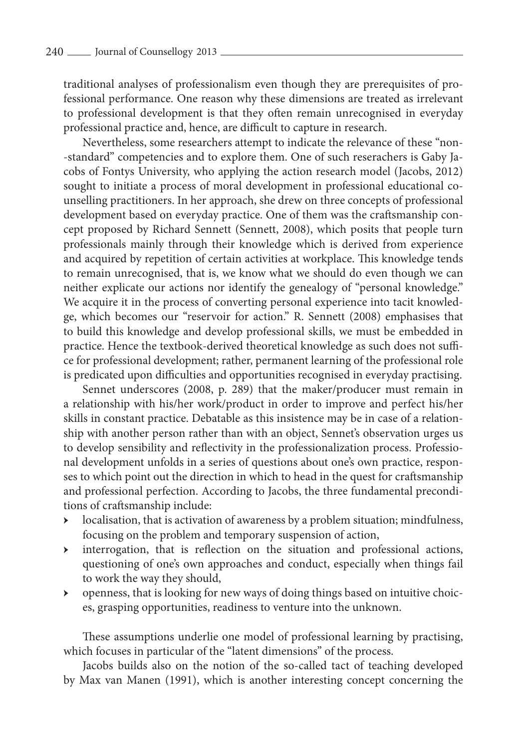traditional analyses of professionalism even though they are prerequisites of professional performance. One reason why these dimensions are treated as irrelevant to professional development is that they often remain unrecognised in everyday professional practice and, hence, are difficult to capture in research.

Nevertheless, some researchers attempt to indicate the relevance of these "non--standard" competencies and to explore them. One of such reserachers is Gaby Jacobs of Fontys University, who applying the action research model (Jacobs, 2012) sought to initiate a process of moral development in professional educational counselling practitioners. In her approach, she drew on three concepts of professional development based on everyday practice. One of them was the craftsmanship concept proposed by Richard Sennett (Sennett, 2008), which posits that people turn professionals mainly through their knowledge which is derived from experience and acquired by repetition of certain activities at workplace. This knowledge tends to remain unrecognised, that is, we know what we should do even though we can neither explicate our actions nor identify the genealogy of "personal knowledge." We acquire it in the process of converting personal experience into tacit knowledge, which becomes our "reservoir for action." R. Sennett (2008) emphasises that to build this knowledge and develop professional skills, we must be embedded in practice. Hence the textbook-derived theoretical knowledge as such does not suffice for professional development; rather, permanent learning of the professional role is predicated upon difficulties and opportunities recognised in everyday practising.

Sennet underscores (2008, p. 289) that the maker/producer must remain in a relationship with his/her work/product in order to improve and perfect his/her skills in constant practice. Debatable as this insistence may be in case of a relationship with another person rather than with an object, Sennet's observation urges us to develop sensibility and reflectivity in the professionalization process. Professional development unfolds in a series of questions about one's own practice, responses to which point out the direction in which to head in the quest for craftsmanship and professional perfection. According to Jacobs, the three fundamental preconditions of craftsmanship include:

- localisation, that is activation of awareness by a problem situation; mindfulness, focusing on the problem and temporary suspension of action,
- ӹ interrogation, that is reflection on the situation and professional actions, questioning of one's own approaches and conduct, especially when things fail to work the way they should,
- ▶ openness, that is looking for new ways of doing things based on intuitive choices, grasping opportunities, readiness to venture into the unknown.

These assumptions underlie one model of professional learning by practising, which focuses in particular of the "latent dimensions" of the process.

Jacobs builds also on the notion of the so-called tact of teaching developed by Max van Manen (1991), which is another interesting concept concerning the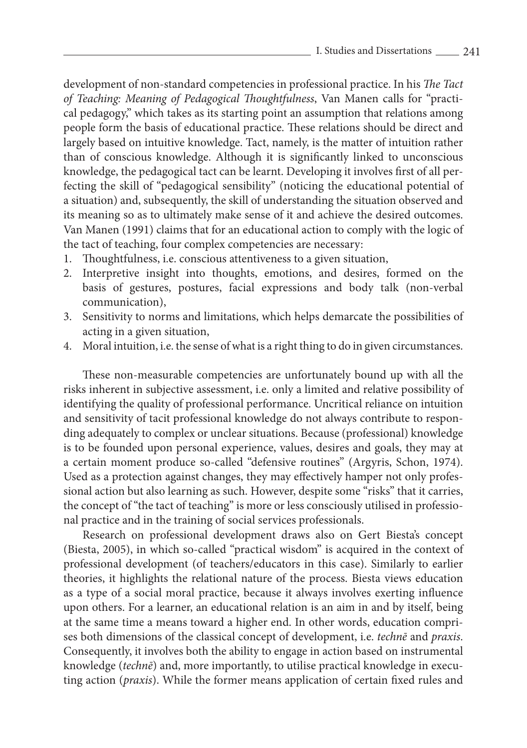development of non-standard competencies in professional practice. In his *The Tact of Teaching: Meaning of Pedagogical Thoughtfulness*, Van Manen calls for "practi‑ cal pedagogy," which takes as its starting point an assumption that relations among people form the basis of educational practice. These relations should be direct and largely based on intuitive knowledge. Tact, namely, is the matter of intuition rather than of conscious knowledge. Although it is significantly linked to unconscious knowledge, the pedagogical tact can be learnt. Developing it involves first of all perfecting the skill of "pedagogical sensibility" (noticing the educational potential of a situation) and, subsequently, the skill of understanding the situation observed and its meaning so as to ultimately make sense of it and achieve the desired outcomes. Van Manen (1991) claims that for an educational action to comply with the logic of the tact of teaching, four complex competencies are necessary:

- 1. Thoughtfulness, i.e. conscious attentiveness to a given situation,
- 2. Interpretive insight into thoughts, emotions, and desires, formed on the basis of gestures, postures, facial expressions and body talk (non-verbal communication),
- 3. Sensitivity to norms and limitations, which helps demarcate the possibilities of acting in a given situation,
- 4. Moral intuition, i.e. the sense of what is a right thing to do in given circumstances.

These non-measurable competencies are unfortunately bound up with all the risks inherent in subjective assessment, i.e. only a limited and relative possibility of identifying the quality of professional performance. Uncritical reliance on intuition and sensitivity of tacit professional knowledge do not always contribute to responding adequately to complex or unclear situations. Because (professional) knowledge is to be founded upon personal experience, values, desires and goals, they may at a certain moment produce so-called "defensive routines" (Argyris, Schon, 1974). Used as a protection against changes, they may effectively hamper not only professional action but also learning as such. However, despite some "risks" that it carries, the concept of "the tact of teaching" is more or less consciously utilised in professional practice and in the training of social services professionals.

Research on professional development draws also on Gert Biesta's concept (Biesta, 2005), in which so-called "practical wisdom" is acquired in the context of professional development (of teachers/educators in this case). Similarly to earlier theories, it highlights the relational nature of the process. Biesta views education as a type of a social moral practice, because it always involves exerting influence upon others. For a learner, an educational relation is an aim in and by itself, being at the same time a means toward a higher end. In other words, education comprises both dimensions of the classical concept of development, i.e. *technē* and *praxis*. Consequently, it involves both the ability to engage in action based on instrumental knowledge (*technē*) and, more importantly, to utilise practical knowledge in executing action (*praxis*). While the former means application of certain fixed rules and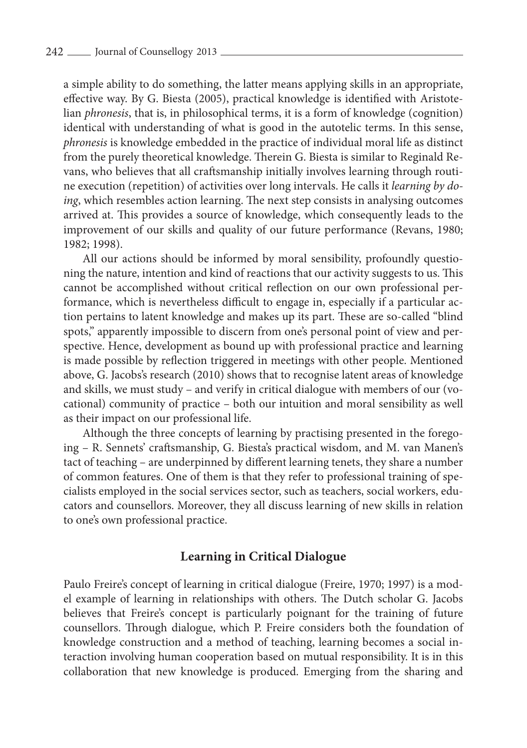a simple ability to do something, the latter means applying skills in an appropriate, effective way. By G. Biesta (2005), practical knowledge is identified with Aristotelian *phronesis*, that is, in philosophical terms, it is a form of knowledge (cognition) identical with understanding of what is good in the autotelic terms. In this sense, *phronesis* is knowledge embedded in the practice of individual moral life as distinct from the purely theoretical knowledge. Therein G. Biesta is similar to Reginald Re‑ vans, who believes that all craftsmanship initially involves learning through routine execution (repetition) of activities over long intervals. He calls it *learning by doing*, which resembles action learning. The next step consists in analysing outcomes arrived at. This provides a source of knowledge, which consequently leads to the improvement of our skills and quality of our future performance (Revans, 1980; 1982; 1998).

All our actions should be informed by moral sensibility, profoundly questioning the nature, intention and kind of reactions that our activity suggests to us. This cannot be accomplished without critical reflection on our own professional performance, which is nevertheless difficult to engage in, especially if a particular ac‑ tion pertains to latent knowledge and makes up its part. These are so-called "blind spots," apparently impossible to discern from one's personal point of view and perspective. Hence, development as bound up with professional practice and learning is made possible by reflection triggered in meetings with other people. Mentioned above, G. Jacobs's research (2010) shows that to recognise latent areas of knowledge and skills, we must study - and verify in critical dialogue with members of our (vocational) community of practice – both our intuition and moral sensibility as well as their impact on our professional life.

Although the three concepts of learning by practising presented in the foregoing – R. Sennets' craftsmanship, G. Biesta's practical wisdom, and M. van Manen's tact of teaching – are underpinned by different learning tenets, they share a number of common features. One of them is that they refer to professional training of spe‑ cialists employed in the social services sector, such as teachers, social workers, educators and counsellors. Moreover, they all discuss learning of new skills in relation to one's own professional practice.

#### **Learning in Critical Dialogue**

Paulo Freire's concept of learning in critical dialogue (Freire, 1970; 1997) is a model example of learning in relationships with others. The Dutch scholar G. Jacobs believes that Freire's concept is particularly poignant for the training of future counsellors. Through dialogue, which P. Freire considers both the foundation of knowledge construction and a method of teaching, learning becomes a social in‑ teraction involving human cooperation based on mutual responsibility. It is in this collaboration that new knowledge is produced. Emerging from the sharing and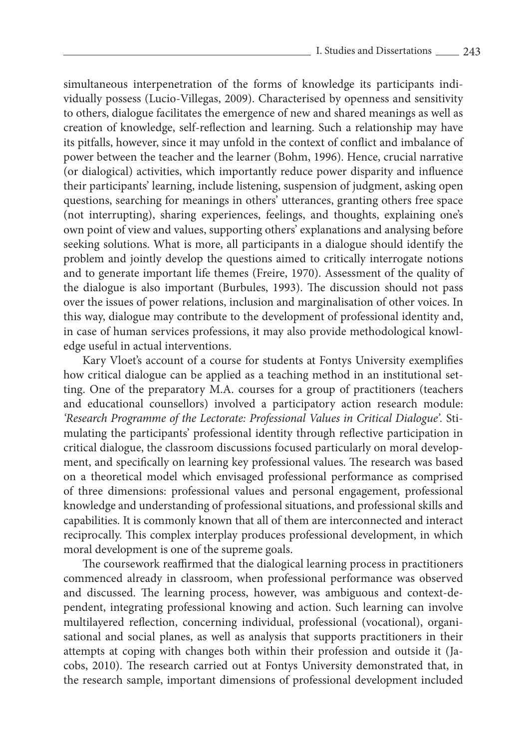simultaneous interpenetration of the forms of knowledge its participants individually possess (Lucio-Villegas, 2009). Characterised by openness and sensitivity to others, dialogue facilitates the emergence of new and shared meanings as well as creation of knowledge, self-reflection and learning. Such a relationship may have its pitfalls, however, since it may unfold in the context of conflict and imbalance of power between the teacher and the learner (Bohm, 1996). Hence, crucial narrative (or dialogical) activities, which importantly reduce power disparity and influence their participants' learning, include listening, suspension of judgment, asking open questions, searching for meanings in others' utterances, granting others free space (not interrupting), sharing experiences, feelings, and thoughts, explaining one's own point of view and values, supporting others' explanations and analysing before seeking solutions. What is more, all participants in a dialogue should identify the problem and jointly develop the questions aimed to critically interrogate notions and to generate important life themes (Freire, 1970). Assessment of the quality of the dialogue is also important (Burbules, 1993). The discussion should not pass over the issues of power relations, inclusion and marginalisation of other voices. In this way, dialogue may contribute to the development of professional identity and, in case of human services professions, it may also provide methodological knowledge useful in actual interventions.

Kary Vloet's account of a course for students at Fontys University exemplifies how critical dialogue can be applied as a teaching method in an institutional setting. One of the preparatory M.A. courses for a group of practitioners (teachers and educational counsellors) involved a participatory action research module: 'Research Programme of the Lectorate: Professional Values in Critical Dialogue'. Stimulating the participants' professional identity through reflective participation in critical dialogue, the classroom discussions focused particularly on moral development, and specifically on learning key professional values. The research was based on a theoretical model which envisaged professional performance as comprised of three dimensions: professional values and personal engagement, professional knowledge and understanding of professional situations, and professional skills and capabilities. It is commonly known that all of them are interconnected and interact reciprocally. This complex interplay produces professional development, in which moral development is one of the supreme goals.

The coursework reaffirmed that the dialogical learning process in practitioners commenced already in classroom, when professional performance was observed and discussed. The learning process, however, was ambiguous and context-dependent, integrating professional knowing and action. Such learning can involve multilayered reflection, concerning individual, professional (vocational), organisational and social planes, as well as analysis that supports practitioners in their attempts at coping with changes both within their profession and outside it (Jacobs, 2010). The research carried out at Fontys University demonstrated that, in the research sample, important dimensions of professional development included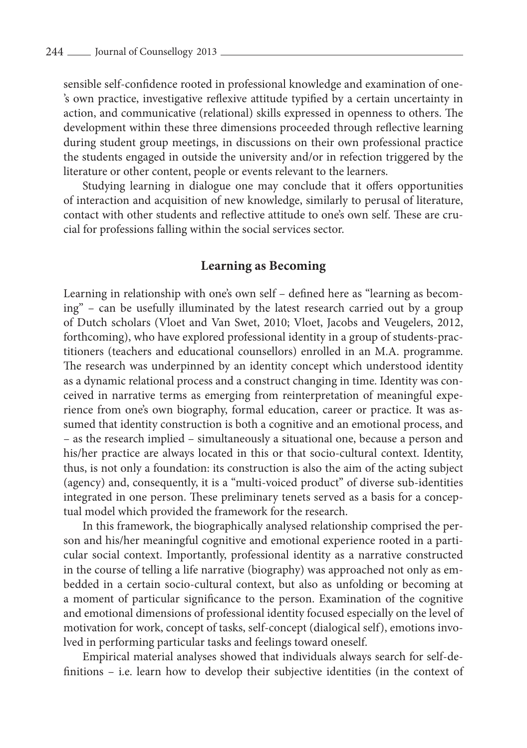sensible self-confidence rooted in professional knowledge and examination of one-'s own practice, investigative reflexive attitude typified by a certain uncertainty in action, and communicative (relational) skills expressed in openness to others. The development within these three dimensions proceeded through reflective learning during student group meetings, in discussions on their own professional practice the students engaged in outside the university and/or in refection triggered by the literature or other content, people or events relevant to the learners.

Studying learning in dialogue one may conclude that it offers opportunities of interaction and acquisition of new knowledge, similarly to perusal of literature, contact with other students and reflective attitude to one's own self. These are crucial for professions falling within the social services sector.

#### **Learning as Becoming**

Learning in relationship with one's own self - defined here as "learning as becoming" – can be usefully illuminated by the latest research carried out by a group of Dutch scholars (Vloet and Van Swet, 2010; Vloet, Jacobs and Veugelers, 2012, forthcoming), who have explored professional identity in a group of students-practitioners (teachers and educational counsellors) enrolled in an M.A. programme. The research was underpinned by an identity concept which understood identity as a dynamic relational process and a construct changing in time. Identity was conceived in narrative terms as emerging from reinterpretation of meaningful experience from one's own biography, formal education, career or practice. It was assumed that identity construction is both a cognitive and an emotional process, and – as the research implied – simultaneously a situational one, because a person and his/her practice are always located in this or that socio-cultural context. Identity, thus, is not only a foundation: its construction is also the aim of the acting subject (agency) and, consequently, it is a "multi-voiced product" of diverse sub-identities integrated in one person. These preliminary tenets served as a basis for a conceptual model which provided the framework for the research.

In this framework, the biographically analysed relationship comprised the person and his/her meaningful cognitive and emotional experience rooted in a particular social context. Importantly, professional identity as a narrative constructed in the course of telling a life narrative (biography) was approached not only as embedded in a certain socio-cultural context, but also as unfolding or becoming at a moment of particular significance to the person. Examination of the cognitive and emotional dimensions of professional identity focused especially on the level of motivation for work, concept of tasks, self-concept (dialogical self), emotions involved in performing particular tasks and feelings toward oneself.

Empirical material analyses showed that individuals always search for self-de‑ finitions – i.e. learn how to develop their subjective identities (in the context of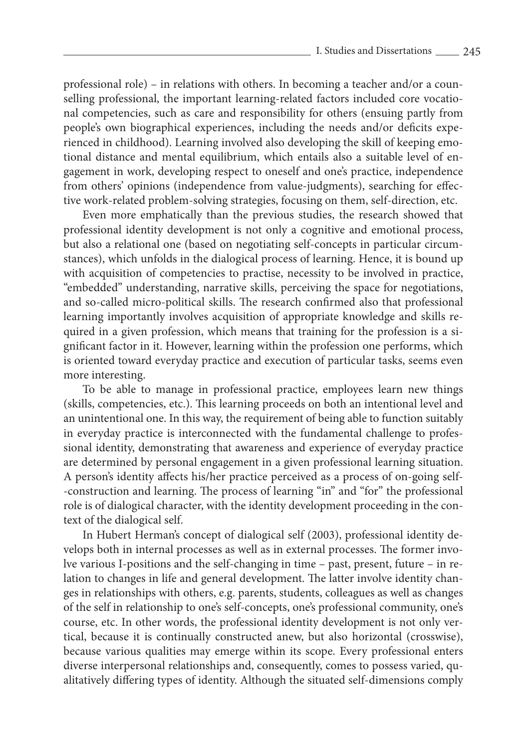professional role) – in relations with others. In becoming a teacher and/or a counselling professional, the important learning-related factors included core vocational competencies, such as care and responsibility for others (ensuing partly from people's own biographical experiences, including the needs and/or deficits experienced in childhood). Learning involved also developing the skill of keeping emotional distance and mental equilibrium, which entails also a suitable level of en‑ gagement in work, developing respect to oneself and one's practice, independence from others' opinions (independence from value-judgments), searching for effec‑ tive work-related problem-solving strategies, focusing on them, self-direction, etc.

Even more emphatically than the previous studies, the research showed that professional identity development is not only a cognitive and emotional process, but also a relational one (based on negotiating self-concepts in particular circumstances), which unfolds in the dialogical process of learning. Hence, it is bound up with acquisition of competencies to practise, necessity to be involved in practice, "embedded" understanding, narrative skills, perceiving the space for negotiations, and so-called micro-political skills. The research confirmed also that professional learning importantly involves acquisition of appropriate knowledge and skills required in a given profession, which means that training for the profession is a significant factor in it. However, learning within the profession one performs, which is oriented toward everyday practice and execution of particular tasks, seems even more interesting.

To be able to manage in professional practice, employees learn new things (skills, competencies, etc.). This learning proceeds on both an intentional level and an unintentional one. In this way, the requirement of being able to function suitably in everyday practice is interconnected with the fundamental challenge to professional identity, demonstrating that awareness and experience of everyday practice are determined by personal engagement in a given professional learning situation. A person's identity affects his/her practice perceived as a process of on-going self--construction and learning. The process of learning "in" and "for" the professional role is of dialogical character, with the identity development proceeding in the context of the dialogical self.

In Hubert Herman's concept of dialogical self (2003), professional identity develops both in internal processes as well as in external processes. The former involve various I-positions and the self-changing in time – past, present, future – in re‑ lation to changes in life and general development. The latter involve identity chan– ges in relationships with others, e.g. parents, students, colleagues as well as changes of the self in relationship to one's self-concepts, one's professional community, one's course, etc. In other words, the professional identity development is not only vertical, because it is continually constructed anew, but also horizontal (crosswise), because various qualities may emerge within its scope. Every professional enters diverse interpersonal relationships and, consequently, comes to possess varied, qualitatively differing types of identity. Although the situated self-dimensions comply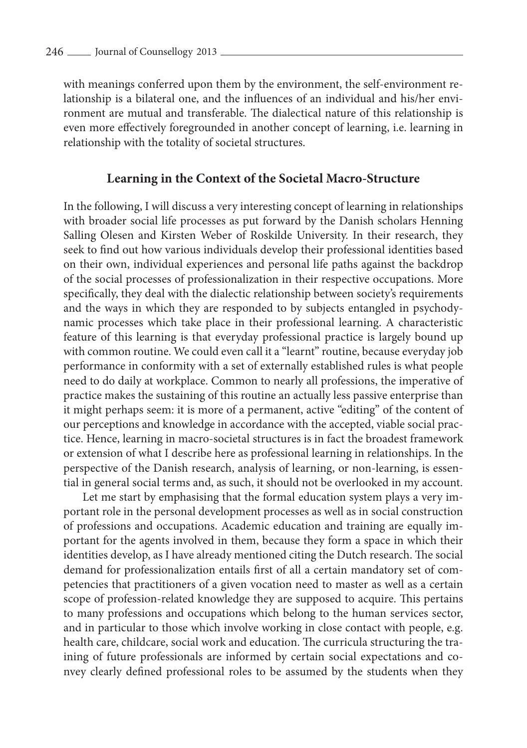with meanings conferred upon them by the environment, the self-environment relationship is a bilateral one, and the influences of an individual and his/her environment are mutual and transferable. The dialectical nature of this relationship is even more effectively foregrounded in another concept of learning, i.e. learning in relationship with the totality of societal structures.

## **Learning in the Context of the Societal Macro-Structure**

In the following, I will discuss a very interesting concept of learning in relationships with broader social life processes as put forward by the Danish scholars Henning Salling Olesen and Kirsten Weber of Roskilde University. In their research, they seek to find out how various individuals develop their professional identities based on their own, individual experiences and personal life paths against the backdrop of the social processes of professionalization in their respective occupations. More specifically, they deal with the dialectic relationship between society's requirements and the ways in which they are responded to by subjects entangled in psychody– namic processes which take place in their professional learning. A characteristic feature of this learning is that everyday professional practice is largely bound up with common routine. We could even call it a "learnt" routine, because everyday job performance in conformity with a set of externally established rules is what people need to do daily at workplace. Common to nearly all professions, the imperative of practice makes the sustaining of this routine an actually less passive enterprise than it might perhaps seem: it is more of a permanent, active "editing" of the content of our perceptions and knowledge in accordance with the accepted, viable social practice. Hence, learning in macro-societal structures is in fact the broadest framework or extension of what I describe here as professional learning in relationships. In the perspective of the Danish research, analysis of learning, or non-learning, is essential in general social terms and, as such, it should not be overlooked in my account.

Let me start by emphasising that the formal education system plays a very important role in the personal development processes as well as in social construction of professions and occupations. Academic education and training are equally im‑ portant for the agents involved in them, because they form a space in which their identities develop, as I have already mentioned citing the Dutch research. The social demand for professionalization entails first of all a certain mandatory set of competencies that practitioners of a given vocation need to master as well as a certain scope of profession-related knowledge they are supposed to acquire. This pertains to many professions and occupations which belong to the human services sector, and in particular to those which involve working in close contact with people, e.g. health care, childcare, social work and education. The curricula structuring the training of future professionals are informed by certain social expectations and convey clearly defined professional roles to be assumed by the students when they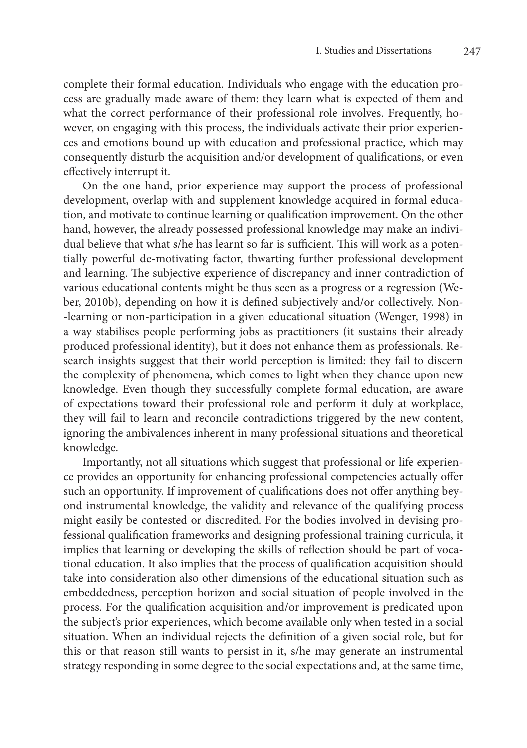complete their formal education. Individuals who engage with the education process are gradually made aware of them: they learn what is expected of them and what the correct performance of their professional role involves. Frequently, however, on engaging with this process, the individuals activate their prior experien– ces and emotions bound up with education and professional practice, which may consequently disturb the acquisition and/or development of qualifications, or even effectively interrupt it.

On the one hand, prior experience may support the process of professional development, overlap with and supplement knowledge acquired in formal education, and motivate to continue learning or qualification improvement. On the other hand, however, the already possessed professional knowledge may make an individual believe that what s/he has learnt so far is sufficient. This will work as a potentially powerful de-motivating factor, thwarting further professional development and learning. The subjective experience of discrepancy and inner contradiction of various educational contents might be thus seen as a progress or a regression (Weber, 2010b), depending on how it is defined subjectively and/or collectively. Non--learning or non-participation in a given educational situation (Wenger, 1998) in a way stabilises people performing jobs as practitioners (it sustains their already produced professional identity), but it does not enhance them as professionals. Research insights suggest that their world perception is limited: they fail to discern the complexity of phenomena, which comes to light when they chance upon new knowledge. Even though they successfully complete formal education, are aware of expectations toward their professional role and perform it duly at workplace, they will fail to learn and reconcile contradictions triggered by the new content, ignoring the ambivalences inherent in many professional situations and theoretical knowledge.

Importantly, not all situations which suggest that professional or life experience provides an opportunity for enhancing professional competencies actually offer such an opportunity. If improvement of qualifications does not offer anything beyond instrumental knowledge, the validity and relevance of the qualifying process might easily be contested or discredited. For the bodies involved in devising professional qualification frameworks and designing professional training curricula, it implies that learning or developing the skills of reflection should be part of vocational education. It also implies that the process of qualification acquisition should take into consideration also other dimensions of the educational situation such as embeddedness, perception horizon and social situation of people involved in the process. For the qualification acquisition and/or improvement is predicated upon the subject's prior experiences, which become available only when tested in a social situation. When an individual rejects the definition of a given social role, but for this or that reason still wants to persist in it, s/he may generate an instrumental strategy responding in some degree to the social expectations and, at the same time,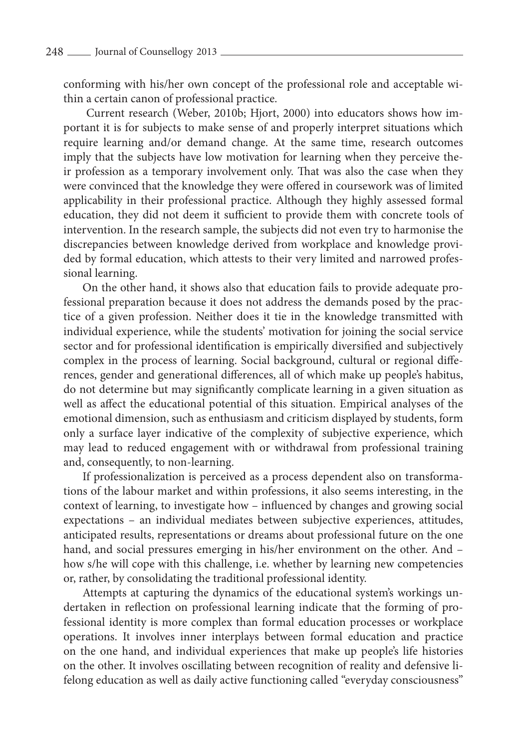conforming with his/her own concept of the professional role and acceptable within a certain canon of professional practice.

 Current research (Weber, 2010b; Hjort, 2000) into educators shows how im‑ portant it is for subjects to make sense of and properly interpret situations which require learning and/or demand change. At the same time, research outcomes imply that the subjects have low motivation for learning when they perceive their profession as a temporary involvement only. That was also the case when they were convinced that the knowledge they were offered in coursework was of limited applicability in their professional practice. Although they highly assessed formal education, they did not deem it sufficient to provide them with concrete tools of intervention. In the research sample, the subjects did not even try to harmonise the discrepancies between knowledge derived from workplace and knowledge provided by formal education, which attests to their very limited and narrowed professional learning.

On the other hand, it shows also that education fails to provide adequate professional preparation because it does not address the demands posed by the practice of a given profession. Neither does it tie in the knowledge transmitted with individual experience, while the students' motivation for joining the social service sector and for professional identification is empirically diversified and subjectively complex in the process of learning. Social background, cultural or regional differences, gender and generational differences, all of which make up people's habitus, do not determine but may significantly complicate learning in a given situation as well as affect the educational potential of this situation. Empirical analyses of the emotional dimension, such as enthusiasm and criticism displayed by students, form only a surface layer indicative of the complexity of subjective experience, which may lead to reduced engagement with or withdrawal from professional training and, consequently, to non-learning.

If professionalization is perceived as a process dependent also on transformations of the labour market and within professions, it also seems interesting, in the context of learning, to investigate how – influenced by changes and growing social expectations – an individual mediates between subjective experiences, attitudes, anticipated results, representations or dreams about professional future on the one hand, and social pressures emerging in his/her environment on the other. And – how s/he will cope with this challenge, i.e. whether by learning new competencies or, rather, by consolidating the traditional professional identity.

Attempts at capturing the dynamics of the educational system's workings undertaken in reflection on professional learning indicate that the forming of professional identity is more complex than formal education processes or workplace operations. It involves inner interplays between formal education and practice on the one hand, and individual experiences that make up people's life histories on the other. It involves oscillating between recognition of reality and defensive lifelong education as well as daily active functioning called "everyday consciousness"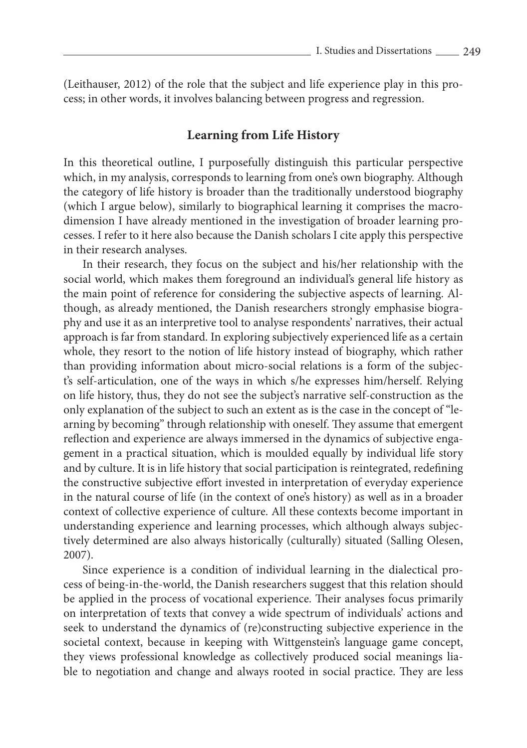(Leithauser, 2012) of the role that the subject and life experience play in this pro‑ cess; in other words, it involves balancing between progress and regression.

## **Learning from Life History**

In this theoretical outline, I purposefully distinguish this particular perspective which, in my analysis, corresponds to learning from one's own biography. Although the category of life history is broader than the traditionally understood biography (which I argue below), similarly to biographical learning it comprises the macrodimension I have already mentioned in the investigation of broader learning processes. I refer to it here also because the Danish scholars I cite apply this perspective in their research analyses.

In their research, they focus on the subject and his/her relationship with the social world, which makes them foreground an individual's general life history as the main point of reference for considering the subjective aspects of learning. Although, as already mentioned, the Danish researchers strongly emphasise biography and use it as an interpretive tool to analyse respondents' narratives, their actual approach is far from standard. In exploring subjectively experienced life as a certain whole, they resort to the notion of life history instead of biography, which rather than providing information about micro-social relations is a form of the subject's self-articulation, one of the ways in which s/he expresses him/herself. Relying on life history, thus, they do not see the subject's narrative self-construction as the only explanation of the subject to such an extent as is the case in the concept of "learning by becoming" through relationship with oneself. They assume that emergent reflection and experience are always immersed in the dynamics of subjective engagement in a practical situation, which is moulded equally by individual life story and by culture. It is in life history that social participation is reintegrated, redefining the constructive subjective effort invested in interpretation of everyday experience in the natural course of life (in the context of one's history) as well as in a broader context of collective experience of culture. All these contexts become important in understanding experience and learning processes, which although always subjectively determined are also always historically (culturally) situated (Salling Olesen, 2007).

Since experience is a condition of individual learning in the dialectical process of being-in-the-world, the Danish researchers suggest that this relation should be applied in the process of vocational experience. Their analyses focus primarily on interpretation of texts that convey a wide spectrum of individuals' actions and seek to understand the dynamics of (re)constructing subjective experience in the societal context, because in keeping with Wittgenstein's language game concept, they views professional knowledge as collectively produced social meanings lia‑ ble to negotiation and change and always rooted in social practice. They are less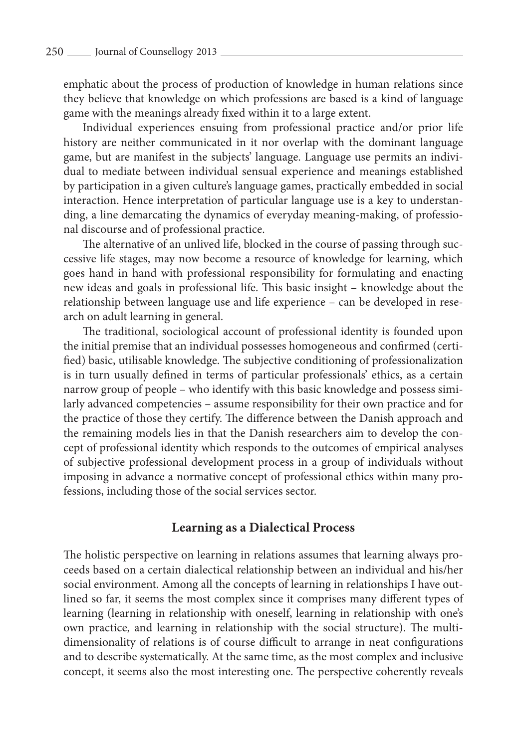emphatic about the process of production of knowledge in human relations since they believe that knowledge on which professions are based is a kind of language game with the meanings already fixed within it to a large extent.

Individual experiences ensuing from professional practice and/or prior life history are neither communicated in it nor overlap with the dominant language game, but are manifest in the subjects' language. Language use permits an individual to mediate between individual sensual experience and meanings established by participation in a given culture's language games, practically embedded in social interaction. Hence interpretation of particular language use is a key to understanding, a line demarcating the dynamics of everyday meaning-making, of professional discourse and of professional practice.

The alternative of an unlived life, blocked in the course of passing through successive life stages, may now become a resource of knowledge for learning, which goes hand in hand with professional responsibility for formulating and enacting new ideas and goals in professional life. This basic insight – knowledge about the relationship between language use and life experience – can be developed in research on adult learning in general.

The traditional, sociological account of professional identity is founded upon the initial premise that an individual possesses homogeneous and confirmed (certified) basic, utilisable knowledge. The subjective conditioning of professionalization is in turn usually defined in terms of particular professionals' ethics, as a certain narrow group of people – who identify with this basic knowledge and possess similarly advanced competencies – assume responsibility for their own practice and for the practice of those they certify. The difference between the Danish approach and the remaining models lies in that the Danish researchers aim to develop the concept of professional identity which responds to the outcomes of empirical analyses of subjective professional development process in a group of individuals without imposing in advance a normative concept of professional ethics within many professions, including those of the social services sector.

### **Learning as a Dialectical Process**

The holistic perspective on learning in relations assumes that learning always proceeds based on a certain dialectical relationship between an individual and his/her social environment. Among all the concepts of learning in relationships I have out– lined so far, it seems the most complex since it comprises many different types of learning (learning in relationship with oneself, learning in relationship with one's own practice, and learning in relationship with the social structure). The multidimensionality of relations is of course difficult to arrange in neat configurations and to describe systematically. At the same time, as the most complex and inclusive concept, it seems also the most interesting one. The perspective coherently reveals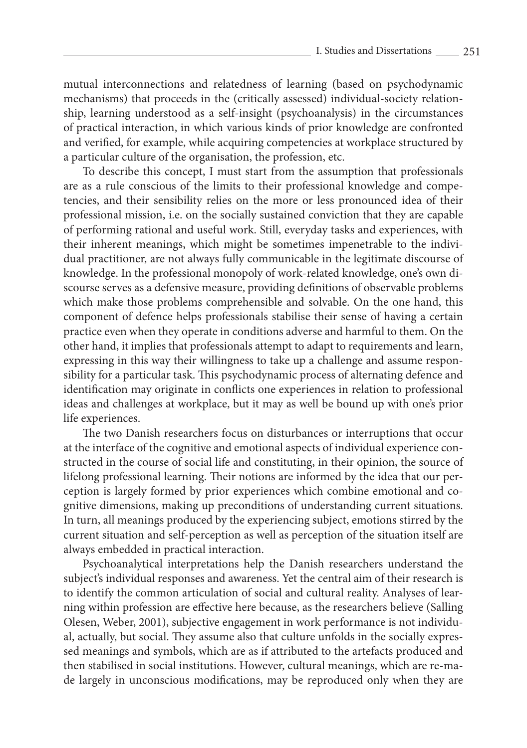mutual interconnections and relatedness of learning (based on psychodynamic mechanisms) that proceeds in the (critically assessed) individual-society relationship, learning understood as a self-insight (psychoanalysis) in the circumstances of practical interaction, in which various kinds of prior knowledge are confronted and verified, for example, while acquiring competencies at workplace structured by a particular culture of the organisation, the profession, etc.

To describe this concept, I must start from the assumption that professionals are as a rule conscious of the limits to their professional knowledge and competencies, and their sensibility relies on the more or less pronounced idea of their professional mission, i.e. on the socially sustained conviction that they are capable of performing rational and useful work. Still, everyday tasks and experiences, with their inherent meanings, which might be sometimes impenetrable to the individual practitioner, are not always fully communicable in the legitimate discourse of knowledge. In the professional monopoly of work-related knowledge, one's own discourse serves as a defensive measure, providing definitions of observable problems which make those problems comprehensible and solvable. On the one hand, this component of defence helps professionals stabilise their sense of having a certain practice even when they operate in conditions adverse and harmful to them. On the other hand, it implies that professionals attempt to adapt to requirements and learn, expressing in this way their willingness to take up a challenge and assume responsibility for a particular task. This psychodynamic process of alternating defence and identification may originate in conflicts one experiences in relation to professional ideas and challenges at workplace, but it may as well be bound up with one's prior life experiences.

The two Danish researchers focus on disturbances or interruptions that occur at the interface of the cognitive and emotional aspects of individual experience constructed in the course of social life and constituting, in their opinion, the source of lifelong professional learning. Their notions are informed by the idea that our perception is largely formed by prior experiences which combine emotional and cognitive dimensions, making up preconditions of understanding current situations. In turn, all meanings produced by the experiencing subject, emotions stirred by the current situation and self-perception as well as perception of the situation itself are always embedded in practical interaction.

Psychoanalytical interpretations help the Danish researchers understand the subject's individual responses and awareness. Yet the central aim of their research is to identify the common articulation of social and cultural reality. Analyses of learning within profession are effective here because, as the researchers believe (Salling Olesen, Weber, 2001), subjective engagement in work performance is not individual, actually, but social. They assume also that culture unfolds in the socially expressed meanings and symbols, which are as if attributed to the artefacts produced and then stabilised in social institutions. However, cultural meanings, which are re-made largely in unconscious modifications, may be reproduced only when they are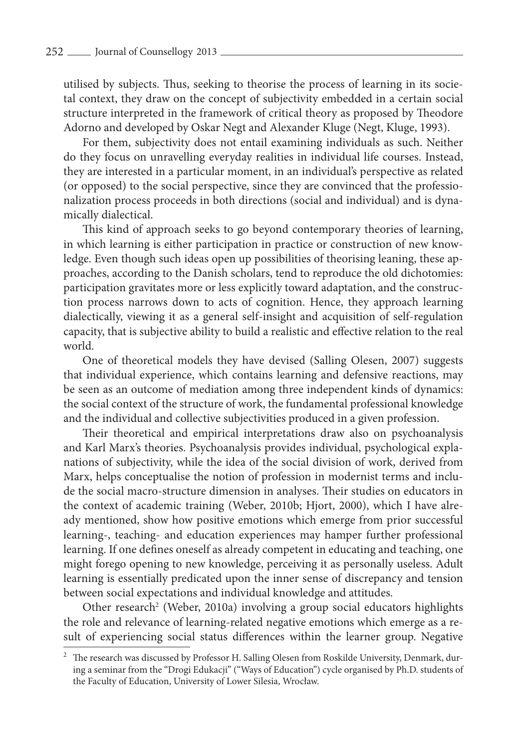utilised by subjects. Thus, seeking to theorise the process of learning in its societal context, they draw on the concept of subjectivity embedded in a certain social structure interpreted in the framework of critical theory as proposed by Theodore Adorno and developed by Oskar Negt and Alexander Kluge (Negt, Kluge, 1993).

For them, subjectivity does not entail examining individuals as such. Neither do they focus on unravelling everyday realities in individual life courses. Instead, they are interested in a particular moment, in an individual's perspective as related (or opposed) to the social perspective, since they are convinced that the professionalization process proceeds in both directions (social and individual) and is dynamically dialectical.

This kind of approach seeks to go beyond contemporary theories of learning, in which learning is either participation in practice or construction of new knowledge. Even though such ideas open up possibilities of theorising leaning, these approaches, according to the Danish scholars, tend to reproduce the old dichotomies: participation gravitates more or less explicitly toward adaptation, and the construction process narrows down to acts of cognition. Hence, they approach learning dialectically, viewing it as a general self-insight and acquisition of self-regulation capacity, that is subjective ability to build a realistic and effective relation to the real world.

One of theoretical models they have devised (Salling Olesen, 2007) suggests that individual experience, which contains learning and defensive reactions, may be seen as an outcome of mediation among three independent kinds of dynamics: the social context of the structure of work, the fundamental professional knowledge and the individual and collective subjectivities produced in a given profession.

Their theoretical and empirical interpretations draw also on psychoanalysis and Karl Marx's theories. Psychoanalysis provides individual, psychological explanations of subjectivity, while the idea of the social division of work, derived from Marx, helps conceptualise the notion of profession in modernist terms and include the social macro-structure dimension in analyses. Their studies on educators in the context of academic training (Weber, 2010b; Hjort, 2000), which I have already mentioned, show how positive emotions which emerge from prior successful learning-, teaching- and education experiences may hamper further professional learning. If one defines oneself as already competent in educating and teaching, one might forego opening to new knowledge, perceiving it as personally useless. Adult learning is essentially predicated upon the inner sense of discrepancy and tension between social expectations and individual knowledge and attitudes.

Other research<sup>2</sup> (Weber, 2010a) involving a group social educators highlights the role and relevance of learning-related negative emotions which emerge as a result of experiencing social status differences within the learner group. Negative

<sup>&</sup>lt;sup>2</sup> The research was discussed by Professor H. Salling Olesen from Roskilde University, Denmark, during a seminar from the "Drogi Edukacji" ("Ways of Education") cycle organised by Ph.D. students of the Faculty of Education, University of Lower Silesia, Wrocław.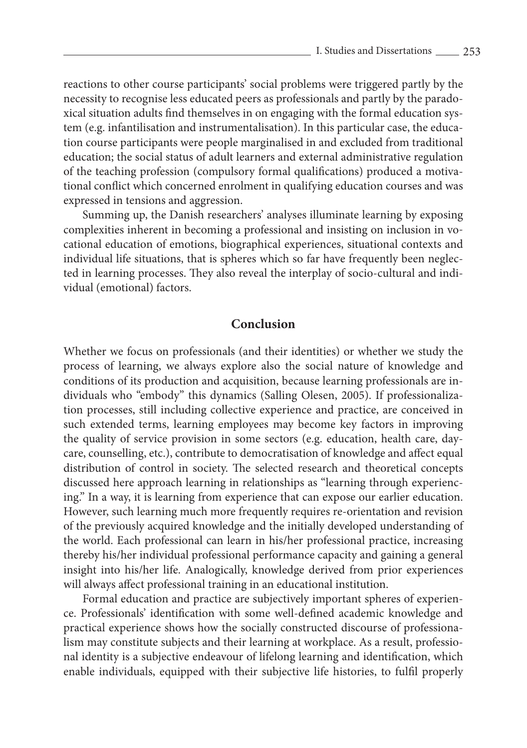reactions to other course participants' social problems were triggered partly by the necessity to recognise less educated peers as professionals and partly by the parado‑ xical situation adults find themselves in on engaging with the formal education sys‑ tem (e.g. infantilisation and instrumentalisation). In this particular case, the education course participants were people marginalised in and excluded from traditional education; the social status of adult learners and external administrative regulation of the teaching profession (compulsory formal qualifications) produced a motiva‑ tional conflict which concerned enrolment in qualifying education courses and was expressed in tensions and aggression.

Summing up, the Danish researchers' analyses illuminate learning by exposing complexities inherent in becoming a professional and insisting on inclusion in vocational education of emotions, biographical experiences, situational contexts and individual life situations, that is spheres which so far have frequently been neglected in learning processes. They also reveal the interplay of socio-cultural and individual (emotional) factors.

#### **Conclusion**

Whether we focus on professionals (and their identities) or whether we study the process of learning, we always explore also the social nature of knowledge and conditions of its production and acquisition, because learning professionals are in‑ dividuals who "embody" this dynamics (Salling Olesen, 2005). If professionaliza‑ tion processes, still including collective experience and practice, are conceived in such extended terms, learning employees may become key factors in improving the quality of service provision in some sectors (e.g. education, health care, daycare, counselling, etc.), contribute to democratisation of knowledge and affect equal distribution of control in society. The selected research and theoretical concepts discussed here approach learning in relationships as "learning through experienc‑ ing." In a way, it is learning from experience that can expose our earlier education. However, such learning much more frequently requires re-orientation and revision of the previously acquired knowledge and the initially developed understanding of the world. Each professional can learn in his/her professional practice, increasing thereby his/her individual professional performance capacity and gaining a general insight into his/her life. Analogically, knowledge derived from prior experiences will always affect professional training in an educational institution.

Formal education and practice are subjectively important spheres of experience. Professionals' identification with some well-defined academic knowledge and practical experience shows how the socially constructed discourse of professionalism may constitute subjects and their learning at workplace. As a result, professional identity is a subjective endeavour of lifelong learning and identification, which enable individuals, equipped with their subjective life histories, to fulfil properly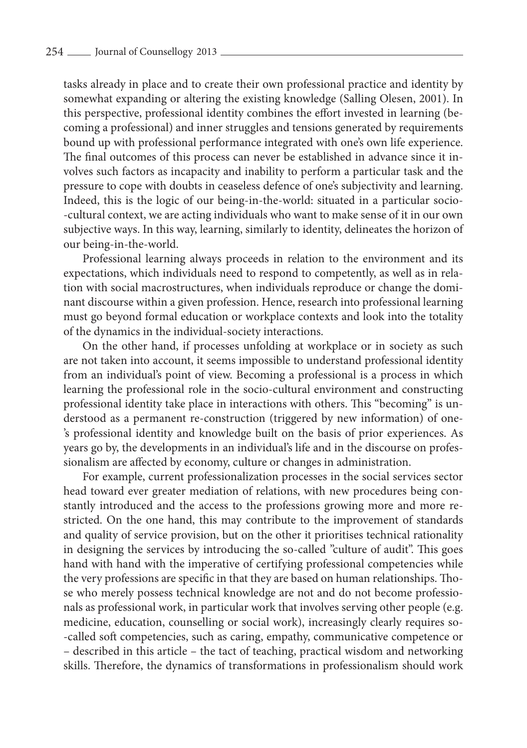tasks already in place and to create their own professional practice and identity by somewhat expanding or altering the existing knowledge (Salling Olesen, 2001). In this perspective, professional identity combines the effort invested in learning (be‑ coming a professional) and inner struggles and tensions generated by requirements bound up with professional performance integrated with one's own life experience. The final outcomes of this process can never be established in advance since it involves such factors as incapacity and inability to perform a particular task and the pressure to cope with doubts in ceaseless defence of one's subjectivity and learning. Indeed, this is the logic of our being-in-the-world: situated in a particular socio--cultural context, we are acting individuals who want to make sense of it in our own subjective ways. In this way, learning, similarly to identity, delineates the horizon of our being-in-the-world.

Professional learning always proceeds in relation to the environment and its expectations, which individuals need to respond to competently, as well as in relation with social macrostructures, when individuals reproduce or change the dominant discourse within a given profession. Hence, research into professional learning must go beyond formal education or workplace contexts and look into the totality of the dynamics in the individual-society interactions.

On the other hand, if processes unfolding at workplace or in society as such are not taken into account, it seems impossible to understand professional identity from an individual's point of view. Becoming a professional is a process in which learning the professional role in the socio-cultural environment and constructing professional identity take place in interactions with others. This "becoming" is understood as a permanent re-construction (triggered by new information) of one‑ 's professional identity and knowledge built on the basis of prior experiences. As years go by, the developments in an individual's life and in the discourse on professionalism are affected by economy, culture or changes in administration.

For example, current professionalization processes in the social services sector head toward ever greater mediation of relations, with new procedures being constantly introduced and the access to the professions growing more and more re‑ stricted. On the one hand, this may contribute to the improvement of standards and quality of service provision, but on the other it prioritises technical rationality in designing the services by introducing the so-called "culture of audit". This goes hand with hand with the imperative of certifying professional competencies while the very professions are specific in that they are based on human relationships. Those who merely possess technical knowledge are not and do not become professionals as professional work, in particular work that involves serving other people (e.g. medicine, education, counselling or social work), increasingly clearly requires so--called soft competencies, such as caring, empathy, communicative competence or – described in this article – the tact of teaching, practical wisdom and networking skills. Therefore, the dynamics of transformations in professionalism should work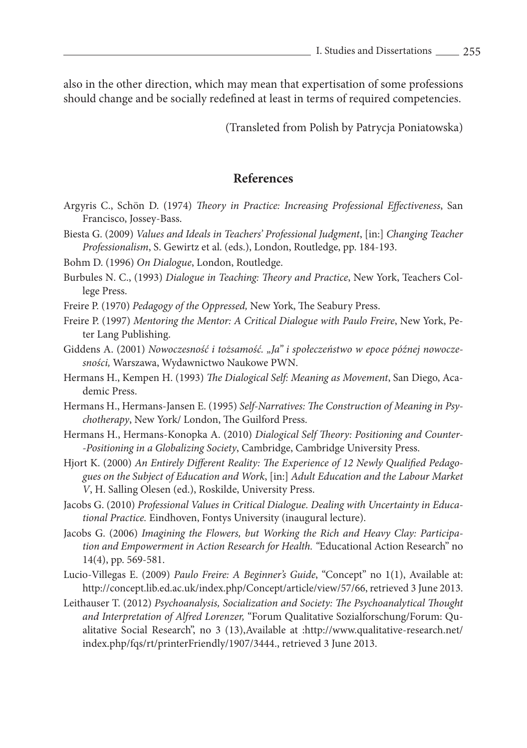also in the other direction, which may mean that expertisation of some professions should change and be socially redefined at least in terms of required competencies.

(Transleted from Polish by Patrycja Poniatowska)

## **References**

- Argyris C., Schön D. (1974) *Theory in Practice: Increasing Professional Effectiveness*, San Francisco, Jossey-Bass.
- Biesta G. (2009) *Values and Ideals in Teachers' Professional Judgment*, [in:] *Changing Teacher Professionalism*, S. Gewirtz et al. (eds.), London, Routledge, pp. 184-193.
- Bohm D. (1996) *On Dialogue*, London, Routledge.
- Burbules N. C., (1993) *Dialogue in Teaching: Theory and Practice*, New York, Teachers Col‑ lege Press.
- Freire P. (1970) *Pedagogy of the Oppressed,* New York, The Seabury Press.
- Freire P. (1997) *Mentoring the Mentor: A Critical Dialogue with Paulo Freire*, New York, Peter Lang Publishing.
- Giddens A. (2001) *Nowoczesność i tożsamość. "Ja" i społeczeństwo w epoce późnej nowoczesności,* Warszawa, Wydawnictwo Naukowe PWN.
- Hermans H., Kempen H. (1993) *The Dialogical Self: Meaning as Movement*, San Diego, Aca‑ demic Press.

Hermans H., Hermans-Jansen E. (1995) *Self-Narratives: The Construction of Meaning in Psychotherapy*, New York/ London, The Guilford Press.

- Hermans H., Hermans-Konopka A. (2010) *Dialogical Self Theory: Positioning and Counter- -Positioning in a Globalizing Society*, Cambridge, Cambridge University Press.
- Hjort K. (2000) *An Entirely Different Reality: The Experience of 12 Newly Qualified Pedagogues on the Subject of Education and Work*, [in:] *Adult Education and the Labour Market V*, H. Salling Olesen (ed.), Roskilde, University Press.
- Jacobs G. (2010) *Professional Values in Critical Dialogue. Dealing with Uncertainty in Educational Practice.* Eindhoven, Fontys University (inaugural lecture).
- Jacobs G. (2006) *Imagining the Flowers, but Working the Rich and Heavy Clay: Participation and Empowerment in Action Research for Health. "*Educational Action Research" no 14(4), pp. 569-581.
- Lucio-Villegas E. (2009) *Paulo Freire: A Beginner's Guide*, "Concept" no 1(1), Available at: http://concept.lib.ed.ac.uk/index.php/Concept/article/view/57/66, retrieved 3 June 2013.
- Leithauser T. (2012) *Psychoanalysis, Socialization and Society: The Psychoanalytical Thought*  and Interpretation of Alfred Lorenzer, "Forum Qualitative Sozialforschung/Forum: Qualitative Social Research", no 3 (13),Available at :http://www.qualitative-research.net/ index.php/fqs/rt/printerFriendly/1907/3444., retrieved 3 June 2013.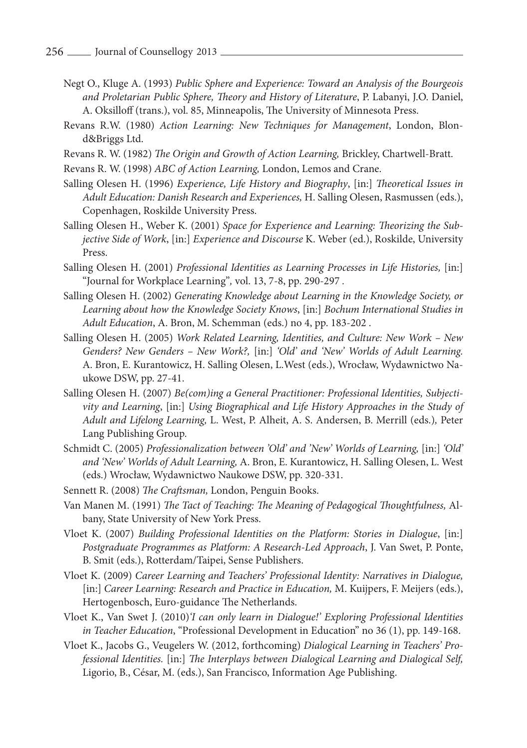- Negt O., Kluge A. (1993) *Public Sphere and Experience: Toward an Analysis of the Bourgeois and Proletarian Public Sphere, Theory and History of Literature*, P. Labanyi, J.O. Daniel, A. Oksilloff (trans.), vol. 85, Minneapolis, The University of Minnesota Press.
- Revans R.W. (1980) *Action Learning: New Techniques for Management*, London, Blon‑ d&Briggs Ltd.
- Revans R. W. (1982) *The Origin and Growth of Action Learning,* Brickley, Chartwell-Bratt.
- Revans R. W. (1998) *ABC of Action Learning,* London, Lemos and Crane.
- Salling Olesen H. (1996) *Experience, Life History and Biography*, [in:] *Theoretical Issues in Adult Education: Danish Research and Experiences,* H. Salling Olesen, Rasmussen (eds.), Copenhagen, Roskilde University Press.
- Salling Olesen H., Weber K. (2001) *Space for Experience and Learning: Theorizing the Subjective Side of Work*, [in:] *Experience and Discourse* K. Weber (ed.), Roskilde, University Press.
- Salling Olesen H. (2001) *Professional Identities as Learning Processes in Life Histories,* [in:] "Journal for Workplace Learning"*,* vol. 13, 7-8, pp. 290-297 *.*
- Salling Olesen H. (2002) *Generating Knowledge about Learning in the Knowledge Society, or Learning about how the Knowledge Society Knows*, [in:] *Bochum International Studies in Adult Education*, A. Bron, M. Schemman (eds.) no 4, pp. 183-202 .
- Salling Olesen H. (2005) *Work Related Learning, Identities, and Culture: New Work New Genders? New Genders – New Work?,* [in:] *'Old' and 'New' Worlds of Adult Learning.* A. Bron, E. Kurantowicz, H. Salling Olesen, L.West (eds.), Wrocław, Wydawnictwo Na‑ ukowe DSW, pp. 27-41.
- Salling Olesen H. (2007) *Be(com)ing a General Practitioner: Professional Identities, Subjectivity and Learning*, [in:] *Using Biographical and Life History Approaches in the Study of Adult and Lifelong Learning,* L. West, P. Alheit, A. S. Andersen, B. Merrill (eds.)*,* Peter Lang Publishing Group.
- Schmidt C. (2005) *Professionalization between 'Old' and 'New' Worlds of Learning,* [in:] *'Old' and 'New' Worlds of Adult Learning,* A. Bron, E. Kurantowicz, H. Salling Olesen, L. West (eds.) Wrocław, Wydawnictwo Naukowe DSW, pp. 320-331.
- Sennett R. (2008) *The Craftsman,* London, Penguin Books.
- Van Manen M. (1991) *The Tact of Teaching: The Meaning of Pedagogical Thoughtfulness,* Al‑ bany, State University of New York Press.
- Vloet K. (2007) *Building Professional Identities on the Platform: Stories in Dialogue*, [in:] *Postgraduate Programmes as Platform: A Research-Led Approach*, J. Van Swet, P. Ponte, B. Smit (eds.), Rotterdam/Taipei, Sense Publishers.
- Vloet K. (2009) *Career Learning and Teachers' Professional Identity: Narratives in Dialogue,* [in:] *Career Learning: Research and Practice in Education*, M. Kuijpers, F. Meijers (eds.), Hertogenbosch, Euro-guidance The Netherlands.
- Vloet K., Van Swet J. (2010)*'I can only learn in Dialogue!' Exploring Professional Identities in Teacher Education*, "Professional Development in Education" no 36 (1), pp. 149-168.
- Vloet K., Jacobs G., Veugelers W. (2012, forthcoming) *Dialogical Learning in Teachers' Professional Identities.* [in:] *The Interplays between Dialogical Learning and Dialogical Self,* Ligorio, B., César, M. (eds.), San Francisco, Information Age Publishing.